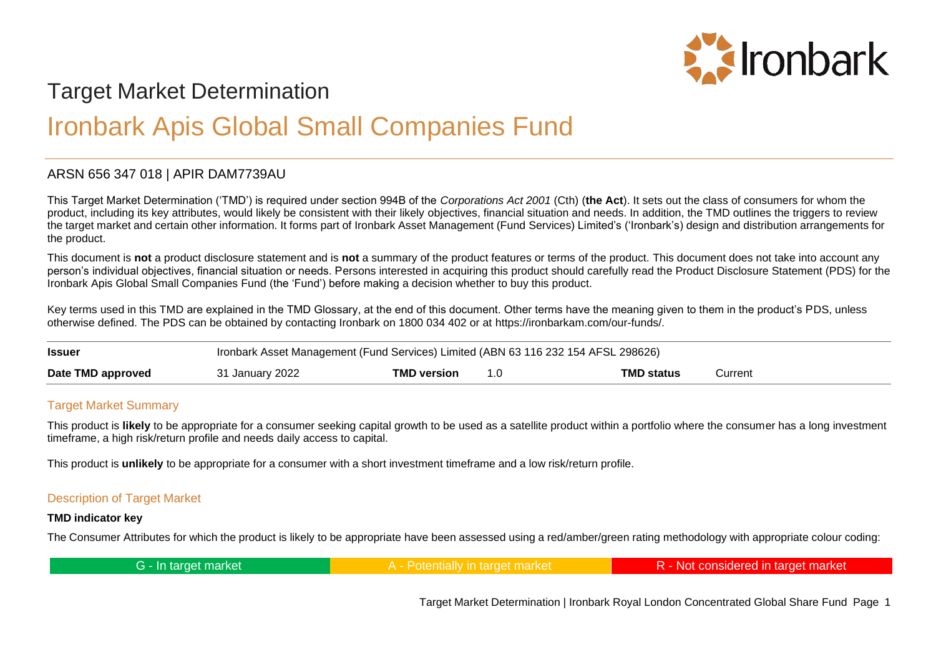

# Target Market Determination

# Ironbark Apis Global Small Companies Fund

# ARSN 656 347 018 | APIR DAM7739AU

This Target Market Determination ('TMD') is required under section 994B of the *Corporations Act 2001* (Cth) (**the Act**). It sets out the class of consumers for whom the product, including its key attributes, would likely be consistent with their likely objectives, financial situation and needs. In addition, the TMD outlines the triggers to review the target market and certain other information. It forms part of Ironbark Asset Management (Fund Services) Limited's ('Ironbark's) design and distribution arrangements for the product.

This document is **not** a product disclosure statement and is **not** a summary of the product features or terms of the product. This document does not take into account any person's individual objectives, financial situation or needs. Persons interested in acquiring this product should carefully read the Product Disclosure Statement (PDS) for the Ironbark Apis Global Small Companies Fund (the 'Fund') before making a decision whether to buy this product.

Key terms used in this TMD are explained in the TMD Glossary, at the end of this document. Other terms have the meaning given to them in the product's PDS, unless otherwise defined. The PDS can be obtained by contacting Ironbark on 1800 034 402 or at https://ironbarkam.com/our-funds/.

| <b>Issuer</b>     | Ironbark Asset Management (Fund Services) Limited (ABN 63 116 232 154 AFSL 298626) |                    |  |                   |           |
|-------------------|------------------------------------------------------------------------------------|--------------------|--|-------------------|-----------|
| Date TMD approved | 31 January 2022                                                                    | <b>TMD version</b> |  | <b>TMD status</b> | Current : |

# Target Market Summary

This product is **likely** to be appropriate for a consumer seeking capital growth to be used as a satellite product within a portfolio where the consumer has a long investment timeframe, a high risk/return profile and needs daily access to capital.

This product is **unlikely** to be appropriate for a consumer with a short investment timeframe and a low risk/return profile.

# Description of Target Market

#### **TMD indicator key**

The Consumer Attributes for which the product is likely to be appropriate have been assessed using a red/amber/green rating methodology with appropriate colour coding:

| G - In target market | ملسنات | R - Not considered in target market |
|----------------------|--------|-------------------------------------|
|----------------------|--------|-------------------------------------|

Target Market Determination | Ironbark Royal London Concentrated Global Share Fund Page 1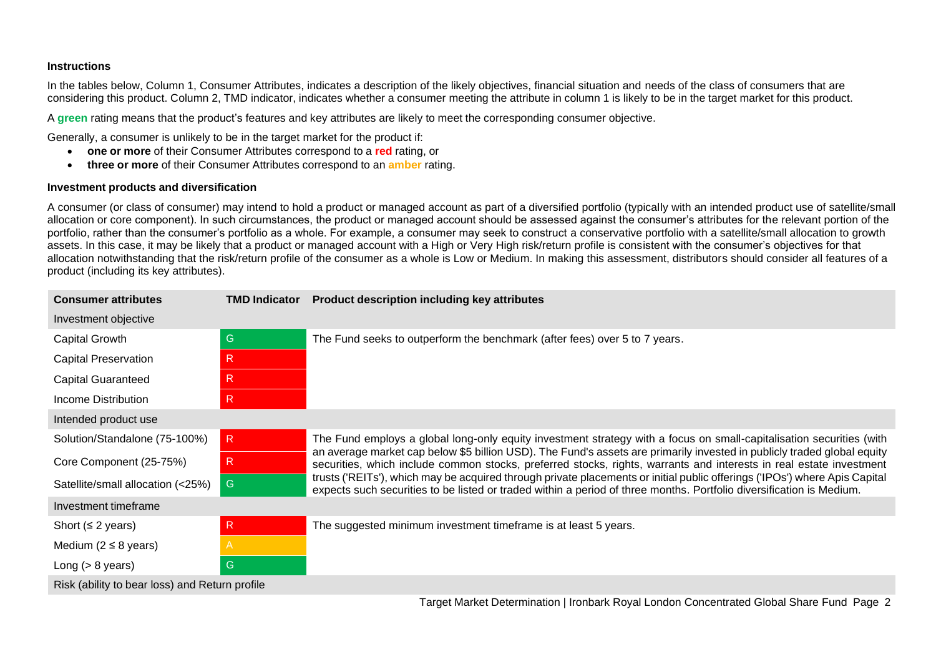#### **Instructions**

In the tables below, Column 1, Consumer Attributes, indicates a description of the likely objectives, financial situation and needs of the class of consumers that are considering this product. Column 2, TMD indicator, indicates whether a consumer meeting the attribute in column 1 is likely to be in the target market for this product.

A **green** rating means that the product's features and key attributes are likely to meet the corresponding consumer objective.

Generally, a consumer is unlikely to be in the target market for the product if:

- **one or more** of their Consumer Attributes correspond to a **red** rating, or
- **three or more** of their Consumer Attributes correspond to an **amber** rating.

#### **Investment products and diversification**

A consumer (or class of consumer) may intend to hold a product or managed account as part of a diversified portfolio (typically with an intended product use of satellite/small allocation or core component). In such circumstances, the product or managed account should be assessed against the consumer's attributes for the relevant portion of the portfolio, rather than the consumer's portfolio as a whole. For example, a consumer may seek to construct a conservative portfolio with a satellite/small allocation to growth assets. In this case, it may be likely that a product or managed account with a High or Very High risk/return profile is consistent with the consumer's objectives for that allocation notwithstanding that the risk/return profile of the consumer as a whole is Low or Medium. In making this assessment, distributors should consider all features of a product (including its key attributes).

| <b>Consumer attributes</b>                     | <b>TMD Indicator</b> | <b>Product description including key attributes</b>                                                                                                                                                                                                                                                                                                                                                                                                                                                  |  |  |
|------------------------------------------------|----------------------|------------------------------------------------------------------------------------------------------------------------------------------------------------------------------------------------------------------------------------------------------------------------------------------------------------------------------------------------------------------------------------------------------------------------------------------------------------------------------------------------------|--|--|
| Investment objective                           |                      |                                                                                                                                                                                                                                                                                                                                                                                                                                                                                                      |  |  |
| Capital Growth                                 | G                    | The Fund seeks to outperform the benchmark (after fees) over 5 to 7 years.                                                                                                                                                                                                                                                                                                                                                                                                                           |  |  |
| <b>Capital Preservation</b>                    | $\mathsf{R}$         |                                                                                                                                                                                                                                                                                                                                                                                                                                                                                                      |  |  |
| <b>Capital Guaranteed</b>                      | $\mathsf{R}$         |                                                                                                                                                                                                                                                                                                                                                                                                                                                                                                      |  |  |
| Income Distribution                            | $\mathsf{R}$         |                                                                                                                                                                                                                                                                                                                                                                                                                                                                                                      |  |  |
| Intended product use                           |                      |                                                                                                                                                                                                                                                                                                                                                                                                                                                                                                      |  |  |
| Solution/Standalone (75-100%)                  | R.                   | The Fund employs a global long-only equity investment strategy with a focus on small-capitalisation securities (with                                                                                                                                                                                                                                                                                                                                                                                 |  |  |
| Core Component (25-75%)                        | $\mathsf{R}$         | an average market cap below \$5 billion USD). The Fund's assets are primarily invested in publicly traded global equity<br>securities, which include common stocks, preferred stocks, rights, warrants and interests in real estate investment<br>trusts ('REITs'), which may be acquired through private placements or initial public offerings ('IPOs') where Apis Capital<br>expects such securities to be listed or traded within a period of three months. Portfolio diversification is Medium. |  |  |
| Satellite/small allocation (<25%)              | G                    |                                                                                                                                                                                                                                                                                                                                                                                                                                                                                                      |  |  |
| Investment timeframe                           |                      |                                                                                                                                                                                                                                                                                                                                                                                                                                                                                                      |  |  |
| Short ( $\leq$ 2 years)                        | $\mathsf{R}$         | The suggested minimum investment timeframe is at least 5 years.                                                                                                                                                                                                                                                                                                                                                                                                                                      |  |  |
| Medium ( $2 \leq 8$ years)                     | A                    |                                                                                                                                                                                                                                                                                                                                                                                                                                                                                                      |  |  |
| Long $(> 8$ years)                             | G                    |                                                                                                                                                                                                                                                                                                                                                                                                                                                                                                      |  |  |
| Risk (ability to bear loss) and Return profile |                      |                                                                                                                                                                                                                                                                                                                                                                                                                                                                                                      |  |  |

Target Market Determination | Ironbark Royal London Concentrated Global Share Fund Page 2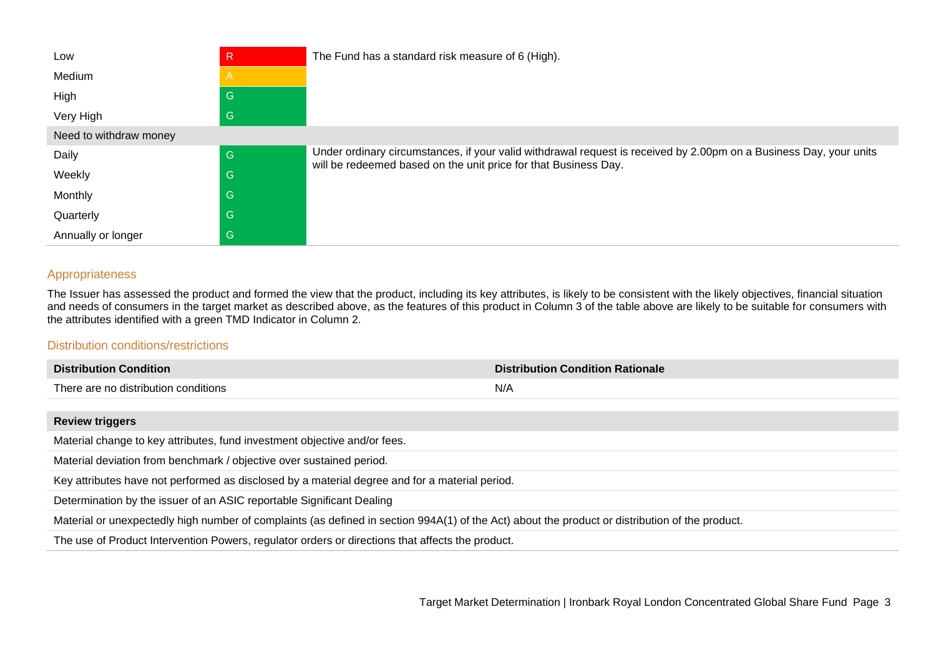| Low                    | R                       | The Fund has a standard risk measure of 6 (High).                                                                                                                                     |
|------------------------|-------------------------|---------------------------------------------------------------------------------------------------------------------------------------------------------------------------------------|
| Medium                 | $\overline{\mathsf{A}}$ |                                                                                                                                                                                       |
| High                   | G                       |                                                                                                                                                                                       |
| Very High              | G                       |                                                                                                                                                                                       |
| Need to withdraw money |                         |                                                                                                                                                                                       |
| Daily                  | G                       | Under ordinary circumstances, if your valid withdrawal request is received by 2.00pm on a Business Day, your units<br>will be redeemed based on the unit price for that Business Day. |
| Weekly                 | G                       |                                                                                                                                                                                       |
| Monthly                | G                       |                                                                                                                                                                                       |
| Quarterly              | G                       |                                                                                                                                                                                       |
| Annually or longer     | G                       |                                                                                                                                                                                       |

### Appropriateness

The Issuer has assessed the product and formed the view that the product, including its key attributes, is likely to be consistent with the likely objectives, financial situation and needs of consumers in the target market as described above, as the features of this product in Column 3 of the table above are likely to be suitable for consumers with the attributes identified with a green TMD Indicator in Column 2.

# Distribution conditions/restrictions

| <b>Distribution Condition</b>        | <b>Distribution Condition Rationale</b> |
|--------------------------------------|-----------------------------------------|
| There are no distribution conditions | N/A                                     |

### **Review triggers**

Material change to key attributes, fund investment objective and/or fees.

Material deviation from benchmark / objective over sustained period.

Key attributes have not performed as disclosed by a material degree and for a material period.

Determination by the issuer of an ASIC reportable Significant Dealing

Material or unexpectedly high number of complaints (as defined in section 994A(1) of the Act) about the product or distribution of the product.

The use of Product Intervention Powers, regulator orders or directions that affects the product.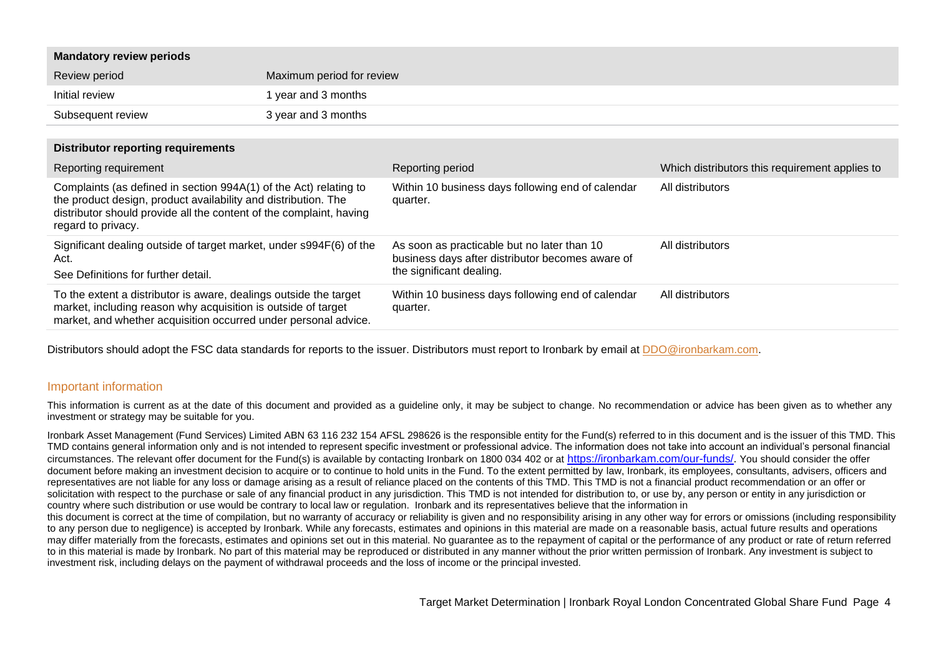| <b>Mandatory review periods</b>                                                                                                                                                                                                  |                           |                                                                                                                             |                                                |
|----------------------------------------------------------------------------------------------------------------------------------------------------------------------------------------------------------------------------------|---------------------------|-----------------------------------------------------------------------------------------------------------------------------|------------------------------------------------|
| Review period                                                                                                                                                                                                                    | Maximum period for review |                                                                                                                             |                                                |
| Initial review                                                                                                                                                                                                                   | 1 year and 3 months       |                                                                                                                             |                                                |
| Subsequent review                                                                                                                                                                                                                | 3 year and 3 months       |                                                                                                                             |                                                |
| <b>Distributor reporting requirements</b>                                                                                                                                                                                        |                           |                                                                                                                             |                                                |
| Reporting requirement                                                                                                                                                                                                            |                           | Reporting period                                                                                                            | Which distributors this requirement applies to |
| Complaints (as defined in section 994A(1) of the Act) relating to<br>the product design, product availability and distribution. The<br>distributor should provide all the content of the complaint, having<br>regard to privacy. |                           | Within 10 business days following end of calendar<br>quarter.                                                               | All distributors                               |
| Significant dealing outside of target market, under s994F(6) of the<br>Act.<br>See Definitions for further detail.                                                                                                               |                           | As soon as practicable but no later than 10<br>business days after distributor becomes aware of<br>the significant dealing. | All distributors                               |
| To the extent a distributor is aware, dealings outside the target<br>market, including reason why acquisition is outside of target<br>market, and whether acquisition occurred under personal advice.                            |                           | Within 10 business days following end of calendar<br>quarter.                                                               | All distributors                               |

Distributors should adopt the FSC data standards for reports to the issuer. Distributors must report to Ironbark by email at [DDO@ironbarkam.com.](mailto:DDO@ironbarkam.com)

#### Important information

This information is current as at the date of this document and provided as a quideline only, it may be subject to change. No recommendation or advice has been given as to whether any investment or strategy may be suitable for you.

Ironbark Asset Management (Fund Services) Limited ABN 63 116 232 154 AFSL 298626 is the responsible entity for the Fund(s) referred to in this document and is the issuer of this TMD. This TMD contains general information only and is not intended to represent specific investment or professional advice. The information does not take into account an individual's personal financial circumstances. The relevant offer document for the Fund(s) is available by contacting Ironbark on 1800 034 402 or at [https://ironbarkam.com/our-funds/.](https://ironbarkam.com/our-funds/) You should consider the offer document before making an investment decision to acquire or to continue to hold units in the Fund. To the extent permitted by law, Ironbark, its employees, consultants, advisers, officers and representatives are not liable for any loss or damage arising as a result of reliance placed on the contents of this TMD. This TMD is not a financial product recommendation or an offer or solicitation with respect to the purchase or sale of any financial product in any jurisdiction. This TMD is not intended for distribution to, or use by, any person or entity in any jurisdiction or country where such distribution or use would be contrary to local law or regulation. Ironbark and its representatives believe that the information in

this document is correct at the time of compilation, but no warranty of accuracy or reliability is given and no responsibility arising in any other way for errors or omissions (including responsibility to any person due to negligence) is accepted by Ironbark. While any forecasts, estimates and opinions in this material are made on a reasonable basis, actual future results and operations may differ materially from the forecasts, estimates and opinions set out in this material. No guarantee as to the repayment of capital or the performance of any product or rate of return referred to in this material is made by Ironbark. No part of this material may be reproduced or distributed in any manner without the prior written permission of Ironbark. Any investment is subject to investment risk, including delays on the payment of withdrawal proceeds and the loss of income or the principal invested.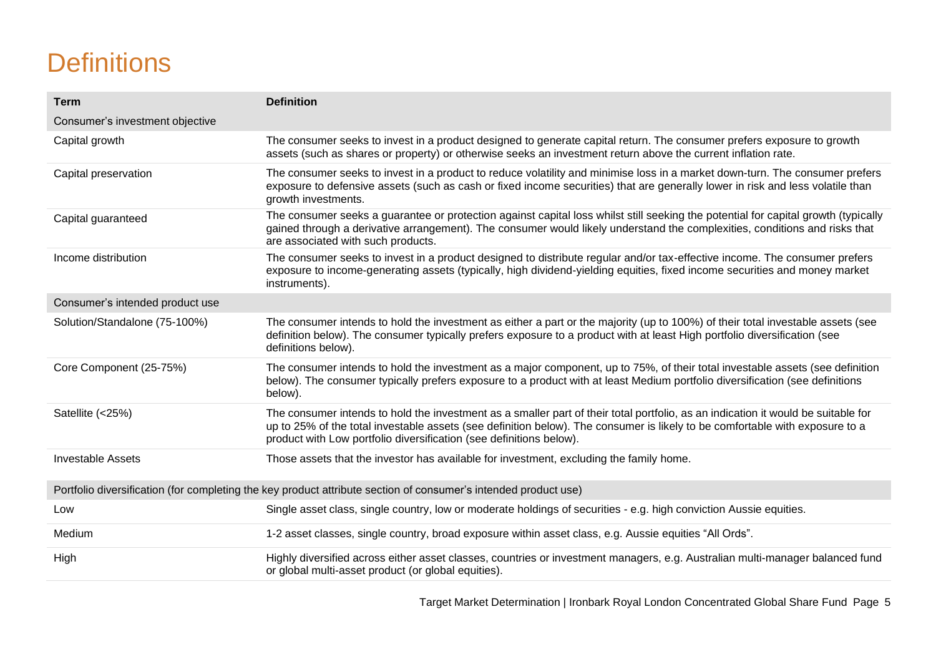# **Definitions**

| <b>Term</b>                     | <b>Definition</b>                                                                                                                                                                                                                                                                                                                        |
|---------------------------------|------------------------------------------------------------------------------------------------------------------------------------------------------------------------------------------------------------------------------------------------------------------------------------------------------------------------------------------|
| Consumer's investment objective |                                                                                                                                                                                                                                                                                                                                          |
| Capital growth                  | The consumer seeks to invest in a product designed to generate capital return. The consumer prefers exposure to growth<br>assets (such as shares or property) or otherwise seeks an investment return above the current inflation rate.                                                                                                  |
| Capital preservation            | The consumer seeks to invest in a product to reduce volatility and minimise loss in a market down-turn. The consumer prefers<br>exposure to defensive assets (such as cash or fixed income securities) that are generally lower in risk and less volatile than<br>growth investments.                                                    |
| Capital guaranteed              | The consumer seeks a guarantee or protection against capital loss whilst still seeking the potential for capital growth (typically<br>gained through a derivative arrangement). The consumer would likely understand the complexities, conditions and risks that<br>are associated with such products.                                   |
| Income distribution             | The consumer seeks to invest in a product designed to distribute regular and/or tax-effective income. The consumer prefers<br>exposure to income-generating assets (typically, high dividend-yielding equities, fixed income securities and money market<br>instruments).                                                                |
| Consumer's intended product use |                                                                                                                                                                                                                                                                                                                                          |
| Solution/Standalone (75-100%)   | The consumer intends to hold the investment as either a part or the majority (up to 100%) of their total investable assets (see<br>definition below). The consumer typically prefers exposure to a product with at least High portfolio diversification (see<br>definitions below).                                                      |
| Core Component (25-75%)         | The consumer intends to hold the investment as a major component, up to 75%, of their total investable assets (see definition<br>below). The consumer typically prefers exposure to a product with at least Medium portfolio diversification (see definitions<br>below).                                                                 |
| Satellite (<25%)                | The consumer intends to hold the investment as a smaller part of their total portfolio, as an indication it would be suitable for<br>up to 25% of the total investable assets (see definition below). The consumer is likely to be comfortable with exposure to a<br>product with Low portfolio diversification (see definitions below). |
| <b>Investable Assets</b>        | Those assets that the investor has available for investment, excluding the family home.                                                                                                                                                                                                                                                  |
|                                 | Portfolio diversification (for completing the key product attribute section of consumer's intended product use)                                                                                                                                                                                                                          |
| Low                             | Single asset class, single country, low or moderate holdings of securities - e.g. high conviction Aussie equities.                                                                                                                                                                                                                       |
| Medium                          | 1-2 asset classes, single country, broad exposure within asset class, e.g. Aussie equities "All Ords".                                                                                                                                                                                                                                   |
| High                            | Highly diversified across either asset classes, countries or investment managers, e.g. Australian multi-manager balanced fund<br>or global multi-asset product (or global equities).                                                                                                                                                     |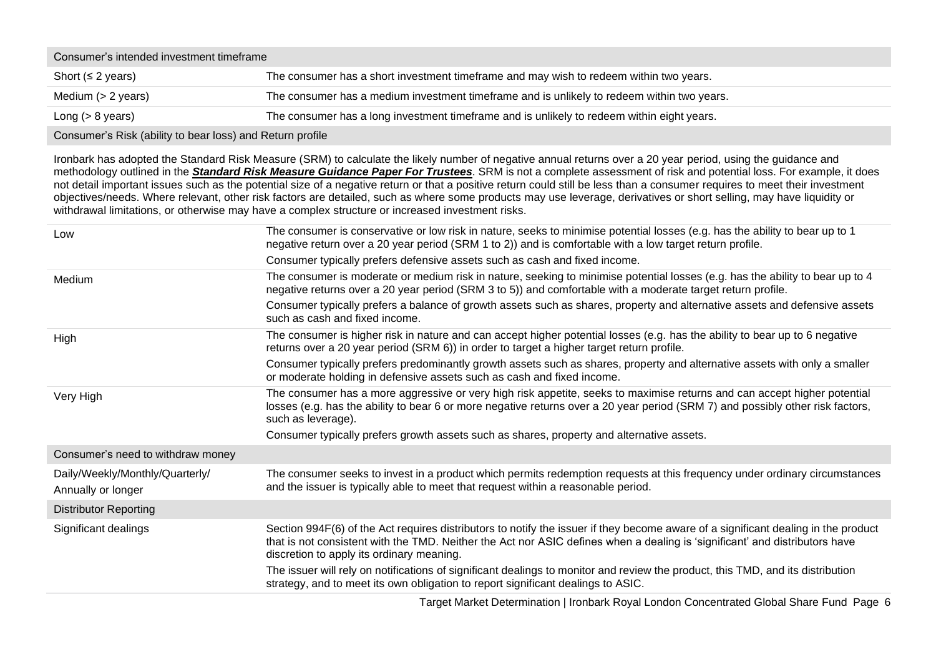| Consumer's intended investment timeframe |                                                                                            |  |
|------------------------------------------|--------------------------------------------------------------------------------------------|--|
| Short ( $\leq$ 2 years)                  | The consumer has a short investment timeframe and may wish to redeem within two years.     |  |
| Medium $(> 2$ years)                     | The consumer has a medium investment timeframe and is unlikely to redeem within two years. |  |
| Long $(> 8$ years)                       | The consumer has a long investment timeframe and is unlikely to redeem within eight years. |  |
|                                          |                                                                                            |  |

Consumer's Risk (ability to bear loss) and Return profile

Ironbark has adopted the Standard Risk Measure (SRM) to calculate the likely number of negative annual returns over a 20 year period, using the guidance and methodology outlined in the *Standard Risk Measure [Guidance](https://protect-eu.mimecast.com/s/pqPaCwVNmtGRQpvMFVpVgu?domain=urldefense.com) Paper For Trustees*. SRM is not a complete assessment of risk and potential loss. For example, it does not detail important issues such as the potential size of a negative return or that a positive return could still be less than a consumer requires to meet their investment objectives/needs. Where relevant, other risk factors are detailed, such as where some products may use leverage, derivatives or short selling, may have liquidity or withdrawal limitations, or otherwise may have a complex structure or increased investment risks.

| Low                                                   | The consumer is conservative or low risk in nature, seeks to minimise potential losses (e.g. has the ability to bear up to 1<br>negative return over a 20 year period (SRM 1 to 2)) and is comfortable with a low target return profile.                                                                       |
|-------------------------------------------------------|----------------------------------------------------------------------------------------------------------------------------------------------------------------------------------------------------------------------------------------------------------------------------------------------------------------|
|                                                       | Consumer typically prefers defensive assets such as cash and fixed income.                                                                                                                                                                                                                                     |
| Medium                                                | The consumer is moderate or medium risk in nature, seeking to minimise potential losses (e.g. has the ability to bear up to 4<br>negative returns over a 20 year period (SRM 3 to 5)) and comfortable with a moderate target return profile.                                                                   |
|                                                       | Consumer typically prefers a balance of growth assets such as shares, property and alternative assets and defensive assets<br>such as cash and fixed income.                                                                                                                                                   |
| High                                                  | The consumer is higher risk in nature and can accept higher potential losses (e.g. has the ability to bear up to 6 negative<br>returns over a 20 year period (SRM 6)) in order to target a higher target return profile.                                                                                       |
|                                                       | Consumer typically prefers predominantly growth assets such as shares, property and alternative assets with only a smaller<br>or moderate holding in defensive assets such as cash and fixed income.                                                                                                           |
| Very High                                             | The consumer has a more aggressive or very high risk appetite, seeks to maximise returns and can accept higher potential<br>losses (e.g. has the ability to bear 6 or more negative returns over a 20 year period (SRM 7) and possibly other risk factors,<br>such as leverage).                               |
|                                                       | Consumer typically prefers growth assets such as shares, property and alternative assets.                                                                                                                                                                                                                      |
| Consumer's need to withdraw money                     |                                                                                                                                                                                                                                                                                                                |
| Daily/Weekly/Monthly/Quarterly/<br>Annually or longer | The consumer seeks to invest in a product which permits redemption requests at this frequency under ordinary circumstances<br>and the issuer is typically able to meet that request within a reasonable period.                                                                                                |
| <b>Distributor Reporting</b>                          |                                                                                                                                                                                                                                                                                                                |
| Significant dealings                                  | Section 994F(6) of the Act requires distributors to notify the issuer if they become aware of a significant dealing in the product<br>that is not consistent with the TMD. Neither the Act nor ASIC defines when a dealing is 'significant' and distributors have<br>discretion to apply its ordinary meaning. |
|                                                       | The issuer will rely on notifications of significant dealings to monitor and review the product, this TMD, and its distribution<br>strategy, and to meet its own obligation to report significant dealings to ASIC.                                                                                            |

Target Market Determination | Ironbark Royal London Concentrated Global Share Fund Page 6